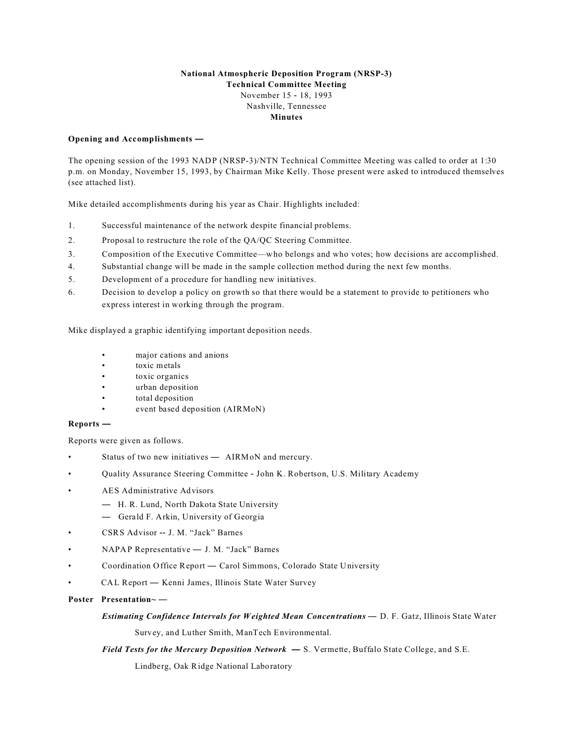# **National Atmospheric Deposition Program (NRSP-3) Technical Committee Meeting** November 15 - 18, 1993 Nashville, Tennessee **Minutes**

## **Opening and Accomplishments —**

The opening session of the 1993 NADP (NRSP-3)/NTN Technical Committee Meeting was called to order at 1:30 p.m. on Monday, November 15, 1993, by Chairman Mike Kelly. Those present were asked to introduced themselves (see attached list).

Mike detailed accomplishments during his year as Chair. Highlights included:

- 1. Successful maintenance of the network despite financial problems.
- 2. Proposal to restructure the role of the QA/QC Steering Committee.
- 3. Composition of the Executive Committee—who belongs and who votes; how decisions are accomplished.
- 4. Substantial change will be made in the sample collection method during the next few months.
- 5. Development of a procedure for handling new initiatives.
- 6. Decision to develop a policy on growth so that there would be a statement to provide to petitioners who express interest in working through the program.

Mike displayed a graphic identifying important deposition needs.

- major cations and anions
- toxic metals
- toxic organics
- urban deposition
- total deposition
- event based deposition (AIRMoN)

# **Reports —**

Reports were given as follows.

- Status of two new initiatives AIRMoN and mercury.
- Quality Assurance Steering Committee John K. Robertson, U.S. Military Academy
- AES Administrative Advisors
	- H. R. Lund, North Dakota State University
	- Gerald F. Arkin, University of Georgia
- CSRS Advisor -- J. M. "Jack" Barnes
- NAPAP Representative J. M. "Jack" Barnes
- Coordination Office Report Carol Simmons, Colorado State University
- CAL Report Kenni James, Illinois State Water Survey
- **Poster Presentation~** —

## *Estimating Confidence Intervals for Weighted Mean Concentrations* — D. F. Gatz, Illinois State Water

Survey, and Luther Smith, ManTech Environmental.

# *Field Tests for the Mercury Deposition Network* **—** S. Vermette, Buffalo State College, and S.E.

Lindberg, Oak Ridge National Laboratory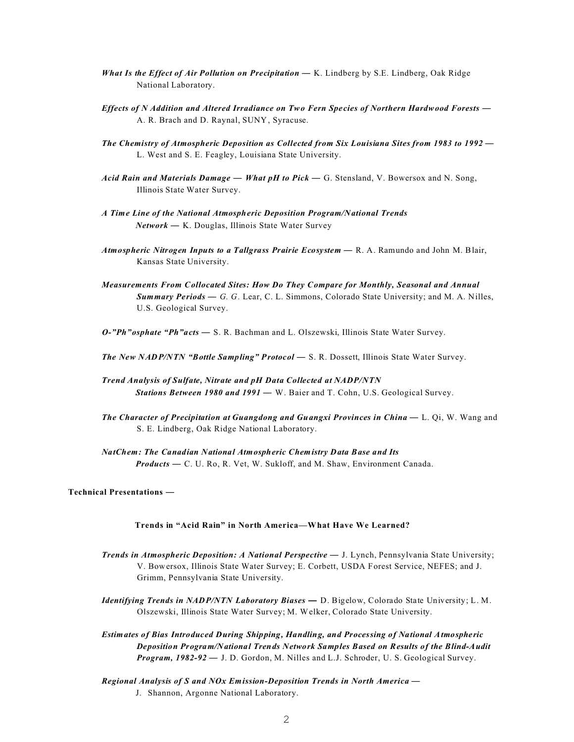- *What Is the Effect of Air Pollution on Precipitation* K. Lindberg by S.E. Lindberg, Oak Ridge National Laboratory.
- *Effects of N Addition and Altered Irradiance on Two Fern Species of Northern Hardwood Forests*  A. R. Brach and D. Raynal, SUNY, Syracuse.
- *The Chemistry of Atmospheric Deposition as Collected from Six Louisiana Sites from 1983 to 1992* L. West and S. E. Feagley, Louisiana State University.
- *Acid Rain and Materials Damage What pH to Pick*  G. Stensland, V. Bowersox and N. Song, Illinois State Water Survey.
- *A Time Line of the National Atmospheric Deposition Program/National Trends Network* — K. Douglas, Illinois State Water Survey
- Atmospheric Nitrogen Inputs to a Tallgrass Prairie Ecosystem R. A. Ramundo and John M. Blair, Kansas State University.
- *Measurements From Collocated Sites: How Do They Compare for Monthly, Seasonal and Annual Summary Periods* — *G. G.* Lear, C. L. Simmons, Colorado State University; and M. A. Nilles, U.S. Geological Survey.

*O-"Ph"osphate "Ph"acts* — S. R. Bachman and L. Olszewski, Illinois State Water Survey.

**The New NADP/NTN "Bottle Sampling" Protocol — S. R. Dossett, Illinois State Water Survey.** 

- *Trend Analysis of Sulfate, Nitrate and pH Data Collected at NADP/NTN Stations Between 1980 and 1991* — W. Baier and T. Cohn, U.S. Geological Survey.
- *The Character of Precipitation at Guangdong and Guangxi Provinces in China* L. Qi, W. Wang and S. E. Lindberg, Oak Ridge National Laboratory.

*NatChem: The Canadian National Atmospheric Chemistry Data Base and Its Products* — C. U. Ro, R. Vet, W. Sukloff, and M. Shaw, Environment Canada.

#### **Technical Presentations** —

# **Trends in "Acid Rain" in North America—What Have We Learned?**

- *Trends in Atmospheric Deposition: A National Perspective*  J. Lynch, Pennsylvania State University; V. Bowersox, Illinois State Water Survey; E. Corbett, USDA Forest Service, NEFES; and J. Grimm, Pennsylvania State University.
- *Identifying Trends in NADP/NTN Laboratory Biases* **—** D. Bigelow, Colorado State University; L. M. Olszewski, Illinois State Water Survey; M. Welker, Colorado State University.
- *Estimates of Bias Introduced During Shipping, Handling, and Processing of National Atmospheric Deposition Program/National Trends Network Samples Based on Results of the Blind-Audit Program, 1982-92* — J. D. Gordon, M. Nilles and L.J. Schroder, U. S. Geological Survey.
- *Regional Analysis of S and NOx Emission-Deposition Trends in North America* J. Shannon, Argonne National Laboratory.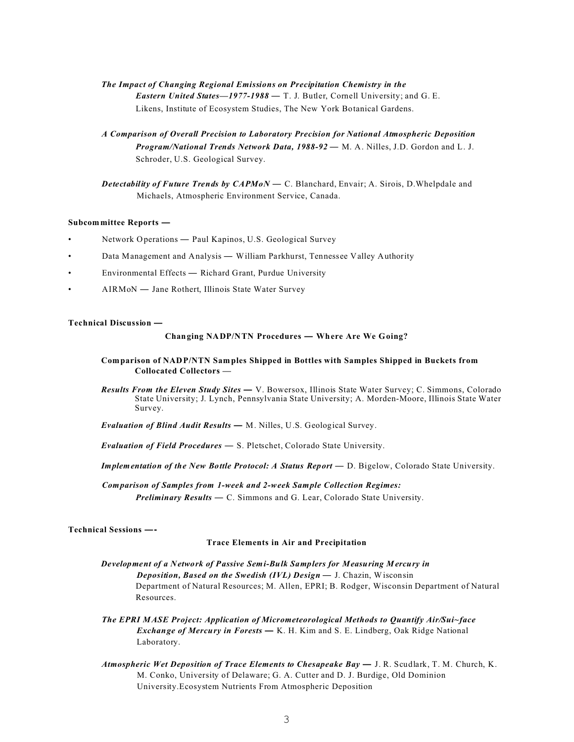# *The Impact of Changing Regional Emissions on Precipitation Chemistry in the Eastern United States—1977-1988* — T. J. Butler, Cornell University; and G. E. Likens, Institute of Ecosystem Studies, The New York Botanical Gardens.

 *A Comparison of Overall Precision to Laboratory Precision for National Atmospheric Deposition Program/National Trends Network Data, 1988-92* — M. A. Nilles, J.D. Gordon and L. J. Schroder, U.S. Geological Survey.

*Detectability of Future Trends by CAPMoN* — C. Blanchard, Envair; A. Sirois, D.Whelpdale and Michaels, Atmospheric Environment Service, Canada.

#### **Subcommittee Reports —**

- Network Operations Paul Kapinos, U.S. Geological Survey
- Data Management and Analysis William Parkhurst, Tennessee Valley Authority
- Environmental Effects Richard Grant, Purdue University
- AIRMoN Jane Rothert, Illinois State Water Survey

## **Technical Discussion —**

#### **Changing NADP/NTN Procedures — Where Are We Going?**

### **Comparison of NADP/NTN Sam ples Shipped in Bottles with Samples Shipped in Buckets from Collocated Collectors —**

*Results From the Eleven Study Sites* **—** V. Bowersox, Illinois State Water Survey; C. Simmons, Colorado State University; J. Lynch, Pennsylvania State University; A. Morden-Moore, Illinois State Water Survey.

*Evaluation of Blind Audit Results* **—** M. Nilles, U.S. Geological Survey.

- *Evaluation of Field Procedures*  S. Pletschet, Colorado State University.
- *Implementation of the New Bottle Protocol: A Status Report* D. Bigelow, Colorado State University.

*Comparison of Samples from 1-week and 2-week Sample Collection Regimes: Preliminary Results* — C. Simmons and G. Lear, Colorado State University.

## **Technical Sessions —-**

# **Trace Elements in Air and Precipitation**

- *Development of a Network of Passive Semi-Bulk Samplers for Measuring Mercury in Deposition, Based on the Swedish (IVL) Design* — J. Chazin, Wisconsin Department of Natural Resources; M. Allen, EPRI; B. Rodger, Wisconsin Department of Natural Resources.
- *The EPRI MASE Project: Application of Micrometeorological Methods to Quantify Air/Sui~face Exchange of Mercury in Forests* **—** K. H. Kim and S. E. Lindberg, Oak Ridge National Laboratory.
- *Atmospheric Wet Deposition of Trace Elements to Chesapeake Bay* J. R. Scudlark, T. M. Church, K. M. Conko, University of Delaware; G. A. Cutter and D. J. Burdige, Old Dominion University.Ecosystem Nutrients From Atmospheric Deposition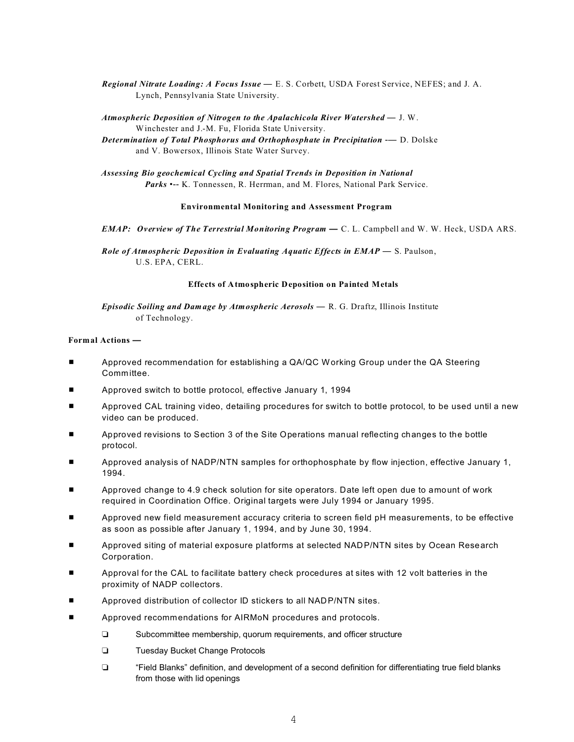*Regional Nitrate Loading: A Focus Issue* — E. S. Corbett, USDA Forest Service, NEFES; and J. A. Lynch, Pennsylvania State University.

*Atmospheric Deposition of Nitrogen to the Apalachicola River Watershed* — J. W. Winchester and J.-M. Fu, Florida State University.

*Determination of Total Phosphorus and Orthophosphate in Precipitation* **-- D. Dolske** and V. Bowersox, Illinois State Water Survey.

*Assessing Bio geochemical Cycling and Spatial Trends in Deposition in National* Parks •-- K. Tonnessen, R. Herrman, and M. Flores, National Park Service.

## **Environmental Monitoring and Assessment Program**

*EMAP: Overview of The Terrestrial Monitoring Program* **—** C. L. Campbell and W. W. Heck, USDA ARS.

*Role of Atmospheric Deposition in Evaluating Aquatic Effects in EMAP* — S. Paulson, U.S. EPA, CERL.

### **Effects of Atmospheric Deposition on Painted Metals**

*Episodic Soiling and Damage by Atmospheric Aerosols* — R. G. Draftz, Illinois Institute of Technology.

# **Formal Actions —**

- **EXECOMMENDER Approved recommendation for establishing a QA/QC Working Group under the QA Steering** Committee.
- Approved switch to bottle protocol, effective January 1, 1994
- Approved CAL training video, detailing procedures for switch to bottle protocol, to be used until a new video can be produced.
- Approved revisions to Section 3 of the Site Operations manual reflecting changes to the bottle protocol.
- Approved analysis of NADP/NTN samples for orthophosphate by flow injection, effective January 1, 1994.
- Approved change to 4.9 check solution for site operators. Date left open due to amount of work required in Coordination Office. Original targets were July 1994 or January 1995.
- Approved new field measurement accuracy criteria to screen field pH measurements, to be effective as soon as possible after January 1, 1994, and by June 30, 1994.
- Approved siting of material exposure platforms at selected NADP/NTN sites by Ocean Research Corporation.
- Approval for the CAL to facilitate battery check procedures at sites with 12 volt batteries in the proximity of NADP collectors.
- Approved distribution of collector ID stickers to all NADP/NTN sites.
- Approved recommendations for AIRMoN procedures and protocols.
	- Subcommittee membership, quorum requirements, and officer structure
	- **Tuesday Bucket Change Protocols**
	- "Field Blanks" definition, and development of a second definition for differentiating true field blanks from those with lid openings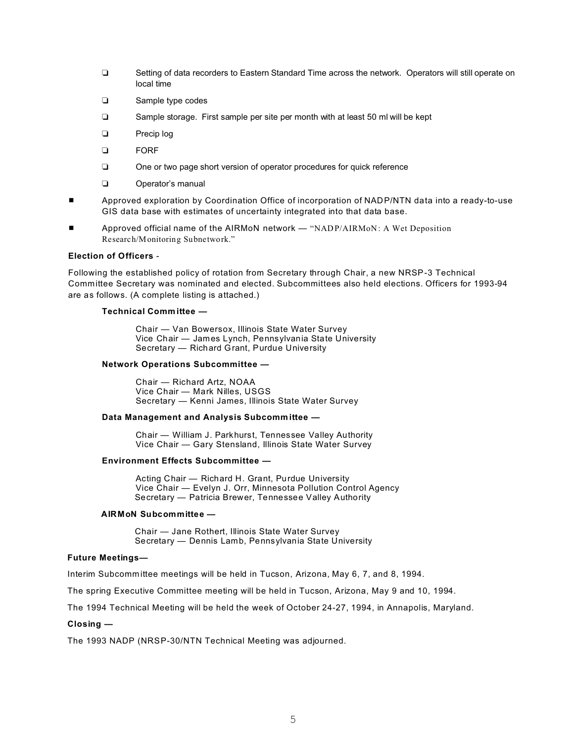- □ Setting of data recorders to Eastern Standard Time across the network. Operators will still operate on local time
- **Example type codes**
- □ Sample storage. First sample per site per month with at least 50 ml will be kept
- **D** Precip log
- **D** FORF
- One or two page short version of operator procedures for quick reference
- **Q** Operator's manual
- Approved exploration by Coordination Office of incorporation of NADP/NTN data into a ready-to-use GIS data base with estimates of uncertainty integrated into that data base.
- Approved official name of the AIRMoN network "NADP/AIRMoN: A Wet Deposition Research/Monitoring Subnetwork."

## **Election of Officers** -

Following the established policy of rotation from Secretary through Chair, a new NRSP-3 Technical Committee Secretary was nominated and elected. Subcommittees also held elections. Officers for 1993-94 are as follows. (A complete listing is attached.)

### **Technical Comm ittee —**

Chair — Van Bowersox, Illinois State Water Survey Vice Chair — James Lynch, Pennsylvania State University Secretary — Richard Grant, Purdue University

#### **Network Operations Subcommittee —**

Chair — Richard Artz, NOAA Vice Chair — Mark Nilles, USGS Secretary — Kenni James, Illinois State Water Survey

## **Data Management and Analysis Subcommittee —**

Chair — William J. Parkhurst, Tennessee Valley Authority Vice Chair — Gary Stensland, Illinois State Water Survey

## **Environment Effects Subcommittee —**

Acting Chair — Richard H. Grant, Purdue University Vice Chair — Evelyn J. Orr, Minnesota Pollution Control Agency Secretary — Patricia Brewer, Tennessee Valley Authority

#### **AIRMoN Subcommittee —**

Chair — Jane Rothert, Illinois State Water Survey Secretary — Dennis Lamb, Pennsylvania State University

## **Future Meetings—**

Interim Subcommittee meetings will be held in Tucson, Arizona, May 6, 7, and 8, 1994.

The spring Executive Committee meeting will be held in Tucson, Arizona, May 9 and 10, 1994.

The 1994 Technical Meeting will be held the week of October 24-27, 1994, in Annapolis, Maryland.

# **Closing —**

The 1993 NADP (NRSP-30/NTN Technical Meeting was adjourned.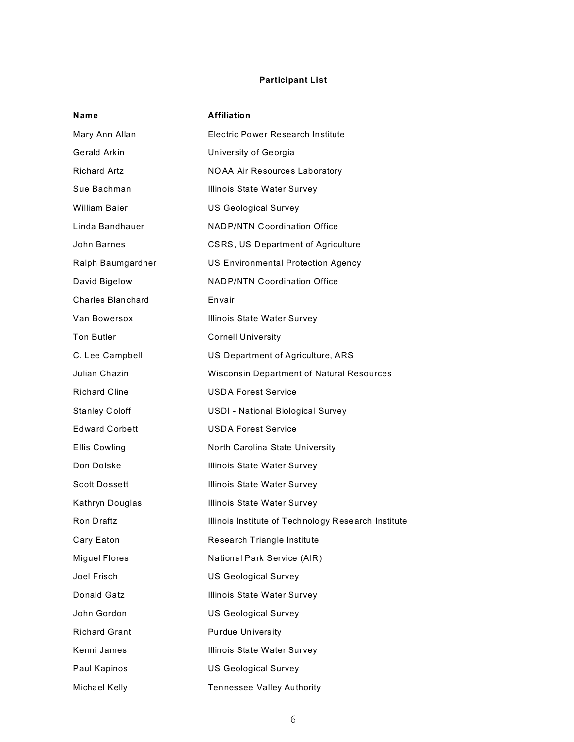# **Participant List**

| Name                     | <b>Affiliation</b>                                  |
|--------------------------|-----------------------------------------------------|
| Mary Ann Allan           | <b>Electric Power Research Institute</b>            |
| Gerald Arkin             | University of Georgia                               |
| Richard Artz             | <b>NOAA Air Resources Laboratory</b>                |
| Sue Bachman              | Illinois State Water Survey                         |
| <b>William Baier</b>     | <b>US Geological Survey</b>                         |
| Linda Bandhauer          | <b>NADP/NTN Coordination Office</b>                 |
| John Barnes              | CSRS, US Department of Agriculture                  |
| Ralph Baumgardner        | <b>US Environmental Protection Agency</b>           |
| David Bigelow            | <b>NADP/NTN Coordination Office</b>                 |
| <b>Charles Blanchard</b> | Envair                                              |
| Van Bowersox             | Illinois State Water Survey                         |
| <b>Ton Butler</b>        | <b>Cornell University</b>                           |
| C. Lee Campbell          | US Department of Agriculture, ARS                   |
| Julian Chazin            | <b>Wisconsin Department of Natural Resources</b>    |
| <b>Richard Cline</b>     | <b>USDA Forest Service</b>                          |
| <b>Stanley Coloff</b>    | USDI - National Biological Survey                   |
| <b>Edward Corbett</b>    | <b>USDA Forest Service</b>                          |
| Ellis Cowling            | North Carolina State University                     |
| Don Dolske               | Illinois State Water Survey                         |
| <b>Scott Dossett</b>     | Illinois State Water Survey                         |
| Kathryn Douglas          | Illinois State Water Survey                         |
| Ron Draftz               | Illinois Institute of Technology Research Institute |
| Cary Eaton               | Research Triangle Institute                         |
| <b>Miguel Flores</b>     | National Park Service (AIR)                         |
| Joel Frisch              | <b>US Geological Survey</b>                         |
| Donald Gatz              | Illinois State Water Survey                         |
| John Gordon              | <b>US Geological Survey</b>                         |
| <b>Richard Grant</b>     | <b>Purdue University</b>                            |
| Kenni James              | Illinois State Water Survey                         |
| Paul Kapinos             | <b>US Geological Survey</b>                         |
| Michael Kelly            | Tennessee Valley Authority                          |